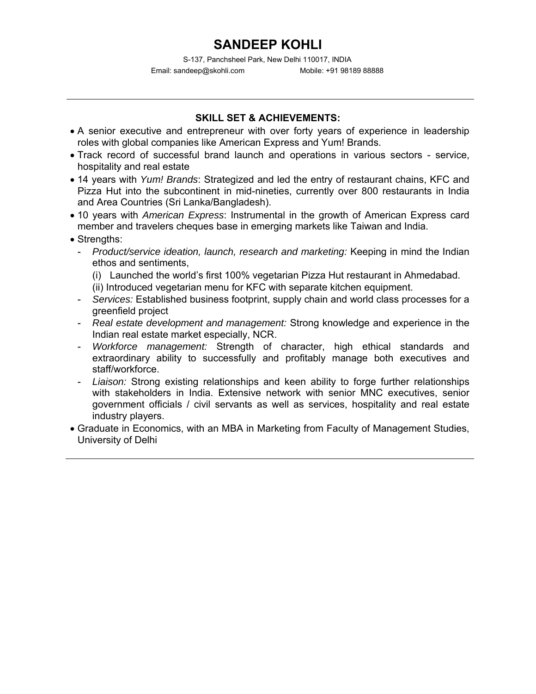S-137, Panchsheel Park, New Delhi 110017, INDIA Email: sandeep@skohli.com Mobile: +91 98189 88888

## **SKILL SET & ACHIEVEMENTS:**

- A senior executive and entrepreneur with over forty years of experience in leadership roles with global companies like American Express and Yum! Brands.
- Track record of successful brand launch and operations in various sectors service, hospitality and real estate
- 14 years with *Yum! Brands*: Strategized and led the entry of restaurant chains, KFC and Pizza Hut into the subcontinent in mid-nineties, currently over 800 restaurants in India and Area Countries (Sri Lanka/Bangladesh).
- 10 years with *American Express*: Instrumental in the growth of American Express card member and travelers cheques base in emerging markets like Taiwan and India.
- Strengths:
	- *Product/service ideation, launch, research and marketing:* Keeping in mind the Indian ethos and sentiments,
		- (i) Launched the world's first 100% vegetarian Pizza Hut restaurant in Ahmedabad.
		- (ii) Introduced vegetarian menu for KFC with separate kitchen equipment.
	- *Services:* Established business footprint, supply chain and world class processes for a greenfield project
	- *Real estate development and management:* Strong knowledge and experience in the Indian real estate market especially, NCR.
	- Workforce management: Strength of character, high ethical standards and extraordinary ability to successfully and profitably manage both executives and staff/workforce.
	- *Liaison:* Strong existing relationships and keen ability to forge further relationships with stakeholders in India. Extensive network with senior MNC executives, senior government officials / civil servants as well as services, hospitality and real estate industry players.
- Graduate in Economics, with an MBA in Marketing from Faculty of Management Studies, University of Delhi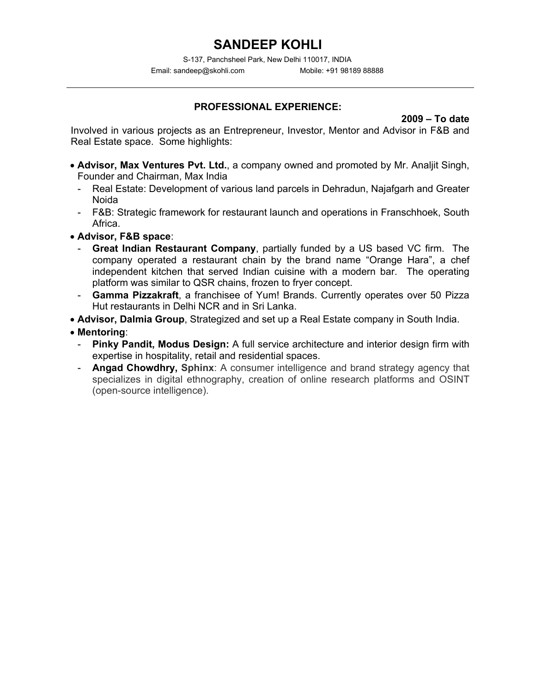S-137, Panchsheel Park, New Delhi 110017, INDIA Email: sandeep@skohli.com Mobile: +91 98189 88888

## **PROFESSIONAL EXPERIENCE:**

**2009 – To date**

Involved in various projects as an Entrepreneur, Investor, Mentor and Advisor in F&B and Real Estate space. Some highlights:

- **Advisor, Max Ventures Pvt. Ltd.**, a company owned and promoted by Mr. Analjit Singh, Founder and Chairman, Max India
	- Real Estate: Development of various land parcels in Dehradun, Najafgarh and Greater Noida
	- F&B: Strategic framework for restaurant launch and operations in Franschhoek, South Africa.
- **Advisor, F&B space**:
	- **Great Indian Restaurant Company**, partially funded by a US based VC firm. The company operated a restaurant chain by the brand name "Orange Hara", a chef independent kitchen that served Indian cuisine with a modern bar. The operating platform was similar to QSR chains, frozen to fryer concept.
	- Gamma Pizzakraft, a franchisee of Yum! Brands. Currently operates over 50 Pizza Hut restaurants in Delhi NCR and in Sri Lanka.
- **Advisor, Dalmia Group**, Strategized and set up a Real Estate company in South India.
- **Mentoring**:
	- **Pinky Pandit, Modus Design:** A full service architecture and interior design firm with expertise in hospitality, retail and residential spaces.
	- Angad Chowdhry, Sphinx: A consumer intelligence and brand strategy agency that specializes in digital ethnography, creation of online research platforms and OSINT (open-source intelligence).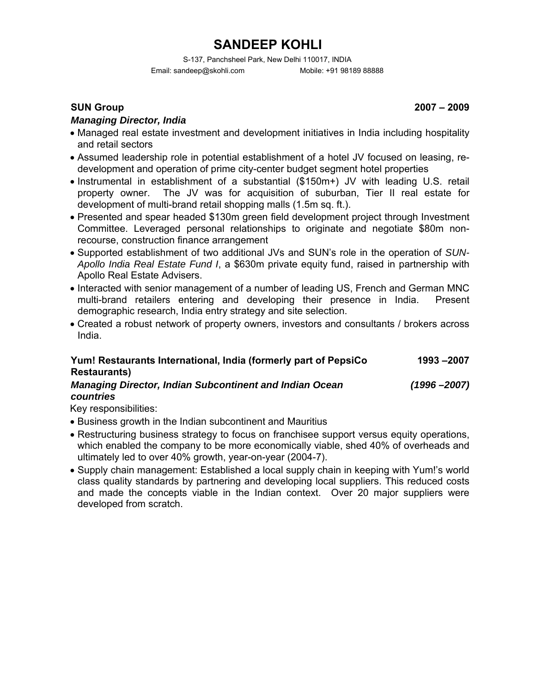S-137, Panchsheel Park, New Delhi 110017, INDIA Email: sandeep@skohli.com Mobile: +91 98189 88888

### *Managing Director, India*

- Managed real estate investment and development initiatives in India including hospitality and retail sectors
- Assumed leadership role in potential establishment of a hotel JV focused on leasing, redevelopment and operation of prime city-center budget segment hotel properties
- Instrumental in establishment of a substantial (\$150m+) JV with leading U.S. retail property owner. The JV was for acquisition of suburban, Tier II real estate for development of multi-brand retail shopping malls (1.5m sq. ft.).
- Presented and spear headed \$130m green field development project through Investment Committee. Leveraged personal relationships to originate and negotiate \$80m nonrecourse, construction finance arrangement
- Supported establishment of two additional JVs and SUN's role in the operation of *SUN-Apollo India Real Estate Fund I*, a \$630m private equity fund, raised in partnership with Apollo Real Estate Advisers.
- Interacted with senior management of a number of leading US, French and German MNC multi-brand retailers entering and developing their presence in India. Present demographic research, India entry strategy and site selection.
- Created a robust network of property owners, investors and consultants / brokers across India.

#### **Yum! Restaurants International, India (formerly part of PepsiCo Restaurants) 1993 –2007** *Managing Director, Indian Subcontinent and Indian Ocean countries (1996 –2007)*

Key responsibilities:

- Business growth in the Indian subcontinent and Mauritius
- Restructuring business strategy to focus on franchisee support versus equity operations, which enabled the company to be more economically viable, shed 40% of overheads and ultimately led to over 40% growth, year-on-year (2004-7).
- Supply chain management: Established a local supply chain in keeping with Yum!'s world class quality standards by partnering and developing local suppliers. This reduced costs and made the concepts viable in the Indian context. Over 20 major suppliers were developed from scratch.

**SUN Group 2007 – 2009**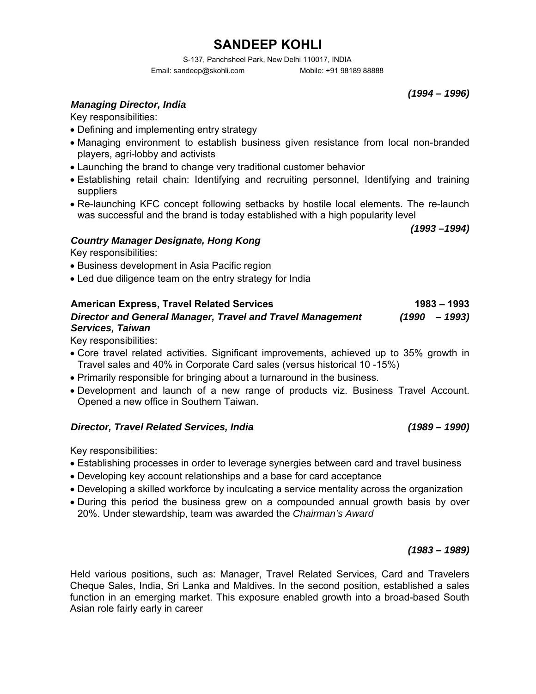S-137, Panchsheel Park, New Delhi 110017, INDIA Email: sandeep@skohli.com Mobile: +91 98189 88888

*(1994 – 1996)*

### *Managing Director, India*

Key responsibilities:

- Defining and implementing entry strategy
- Managing environment to establish business given resistance from local non-branded players, agri-lobby and activists
- Launching the brand to change very traditional customer behavior
- Establishing retail chain: Identifying and recruiting personnel, Identifying and training suppliers
- Re-launching KFC concept following setbacks by hostile local elements. The re-launch was successful and the brand is today established with a high popularity level

*(1993 –1994)*

### *Country Manager Designate, Hong Kong*

Key responsibilities:

- Business development in Asia Pacific region
- Led due diligence team on the entry strategy for India

### American Express, Travel Related Services 1983 – 1993 *Director and General Manager, Travel and Travel Management Services, Taiwan (1990 – 1993)*

Key responsibilities:

- Core travel related activities. Significant improvements, achieved up to 35% growth in Travel sales and 40% in Corporate Card sales (versus historical 10 -15%)
- Primarily responsible for bringing about a turnaround in the business.
- Development and launch of a new range of products viz. Business Travel Account. Opened a new office in Southern Taiwan.

### *Director, Travel Related Services, India*

Key responsibilities:

- Establishing processes in order to leverage synergies between card and travel business
- Developing key account relationships and a base for card acceptance
- Developing a skilled workforce by inculcating a service mentality across the organization
- During this period the business grew on a compounded annual growth basis by over 20%. Under stewardship, team was awarded the *Chairman's Award*

*(1983 – 1989)*

*(1989 – 1990)*

Held various positions, such as: Manager, Travel Related Services, Card and Travelers Cheque Sales, India, Sri Lanka and Maldives. In the second position, established a sales function in an emerging market. This exposure enabled growth into a broad-based South Asian role fairly early in career